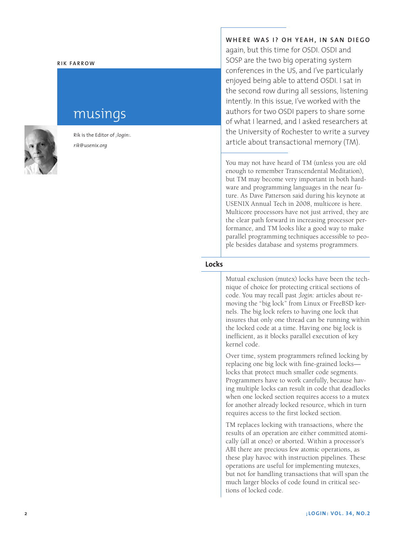#### **Rik Fa rr o w**

# musings

Rik is the Editor of *;login:. rik@usenix.org*

**Where was I? Oh yeah, i n San D i e g o** again, but this time for OSDI. OSDI and

SOSP are the two big operating system conferences in the US, and I've particularly enjoyed being able to attend OSDI. I sat in the second row during all sessions, listening intently. In this issue, I've worked with the authors for two OSDI papers to share some of what I learned, and I asked researchers at the University of Rochester to write a survey article about transactional memory (TM).

You may not have heard of TM (unless you are old enough to remember Transcendental Meditation), but TM may become very important in both hard ware and programming languages in the near fu ture. As Dave Patterson said during his keynote at USENIX Annual Tech in 2008, multicore is here. Multicore processors have not just arrived, they are the clear path forward in increasing processor performance, and TM looks like a good way to make parallel programming techniques accessible to peo ple besides database and systems programmers.

# **Locks**

Mutual exclusion (mutex) locks have been the tech nique of choice for protecting critical sections of code. You may recall past *;login:* articles about re moving the "big lock" from Linux or FreeBSD kernels. The big lock refers to having one lock that insures that only one thread can be running within the locked code at a time. Having one big lock is inefficient, as it blocks parallel execution of key kernel code.

Over time, system programmers refined locking by replacing one big lock with fine-grained locks locks that protect much smaller code segments. Programmers have to work carefully, because hav ing multiple locks can result in code that deadlocks when one locked section requires access to a mutex for another already locked resource, which in turn requires access to the first locked section.

TM replaces locking with transactions, where the results of an operation are either committed atomi cally (all at once) or aborted. Within a processor's ABI there are precious few atomic operations, as these play havoc with instruction pipelines. These operations are useful for implementing mutexes, but not for handling transactions that will span the much larger blocks of code found in critical sec tions of locked code.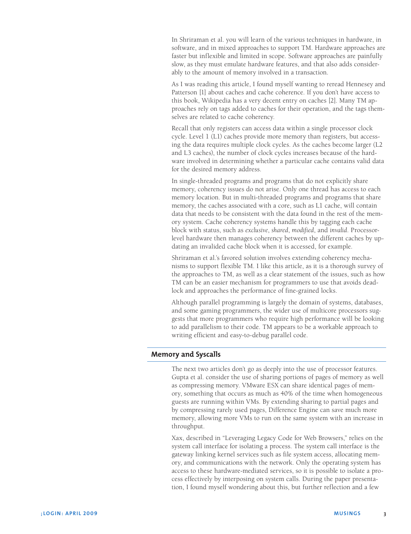In Shriraman et al. you will learn of the various techniques in hardware, in software, and in mixed approaches to support TM. Hardware approaches are faster but inflexible and limited in scope. Software approaches are painfully slow, as they must emulate hardware features, and that also adds considerably to the amount of memory involved in a transaction.

As I was reading this article, I found myself wanting to reread Hennesey and Patterson [1] about caches and cache coherence. If you don't have access to this book, Wikipedia has a very decent entry on caches [2]. Many TM approaches rely on tags added to caches for their operation, and the tags themselves are related to cache coherency.

Recall that only registers can access data within a single processor clock cycle. Level 1 (L1) caches provide more memory than registers, but accessing the data requires multiple clock cycles. As the caches become larger (L2 and L3 caches), the number of clock cycles increases because of the hardware involved in determining whether a particular cache contains valid data for the desired memory address.

In single-threaded programs and programs that do not explicitly share memory, coherency issues do not arise. Only one thread has access to each memory location. But in multi-threaded programs and programs that share memory, the caches associated with a core, such as L1 cache, will contain data that needs to be consistent with the data found in the rest of the memory system. Cache coherency systems handle this by tagging each cache block with status, such as *exclusive*, *shared*, *modified*, and *invalid*. Processorlevel hardware then manages coherency between the different caches by updating an invalided cache block when it is accessed, for example.

Shriraman et al.'s favored solution involves extending coherency mechanisms to support flexible TM. I like this article, as it is a thorough survey of the approaches to TM, as well as a clear statement of the issues, such as how TM can be an easier mechanism for programmers to use that avoids deadlock and approaches the performance of fine-grained locks.

Although parallel programming is largely the domain of systems, databases, and some gaming programmers, the wider use of multicore processors suggests that more programmers who require high performance will be looking to add parallelism to their code. TM appears to be a workable approach to writing efficient and easy-to-debug parallel code.

# **Memory and Syscalls**

The next two articles don't go as deeply into the use of processor features. Gupta et al. consider the use of sharing portions of pages of memory as well as compressing memory. VMware ESX can share identical pages of memory, something that occurs as much as 40% of the time when homogeneous guests are running within VMs. By extending sharing to partial pages and by compressing rarely used pages, Difference Engine can save much more memory, allowing more VMs to run on the same system with an increase in throughput.

Xax, described in "Leveraging Legacy Code for Web Browsers," relies on the system call interface for isolating a process. The system call interface is the gateway linking kernel services such as file system access, allocating memory, and communications with the network. Only the operating system has access to these hardware-mediated services, so it is possible to isolate a process effectively by interposing on system calls. During the paper presentation, I found myself wondering about this, but further reflection and a few